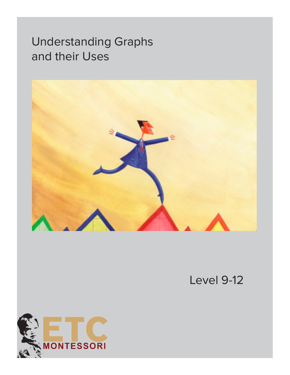# Understanding Graphs and their Uses



Level 9-12

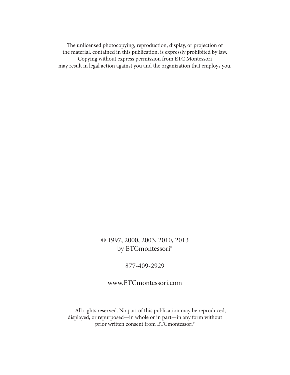The unlicensed photocopying, reproduction, display, or projection of the material, contained in this publication, is expressly prohibited by law. Copying without express permission from ETC Montessori may result in legal action against you and the organization that employs you.

## © 1997, 2000, 2003, 2010, 2013 by ETCmontessori®

#### 877-409-2929

## www.ETCmontessori.com

All rights reserved. No part of this publication may be reproduced, displayed, or repurposed—in whole or in part—in any form without prior written consent from ETCmontessori®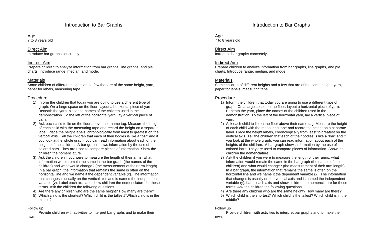# Introduction to Bar Graphs

## Age

7 to 8 years old

#### Direct Aim

Introduce bar graphs concretely.

#### Indirect Aim

Prepare children to analyze information from bar graphs, line graphs, and pie charts. Introduce range, median, and mode.

#### **Materials**

Some children of different heights and a few that are of the same height, yarn, paper for labels, measuring tape

#### Procedure

- 1) Inform the children that today you are going to use a different type of graph. On a large space on the floor, layout a horizontal piece of yarn. Beneath the yarn, place the names of the children used in the demonstration. To the left of the horizontal yarn, lay a vertical piece of yarn.
- 2) Ask each child to lie on the floor above their name tag. Measure the height of each child with the measuring tape and record the height on a separate label. Place the height labels, chronologically from least to greatest on the vertical axis. Tell the children that each of their bodies is like a "bar" and if you look at the whole graph, you can read information about each of the heights of the children. A bar graph shows information by the use of colored bars. They are used to compare pieces of information. Show the children the nomenclature.
- 3) Ask the children if you were to measure the length of their arms, what information would remain the same in the bar graph (the names of the children) and what would change? (the measurement of their arm length) In a bar graph, the information that remains the same is often on the horizontal line and we name it the dependent variable (*x*). The information that changes is usually on the vertical axis and is named the independent variable (*y*). Label each axis and show children the nomenclature for these terms. Ask the children the following questions.
- 4) Are there any children who are the same height? How many are there?
- 5) Which child is the shortest? Which child is the tallest? Which child is in the middle?

#### Follow up

Provide children with activities to interpret bar graphs and to make their own.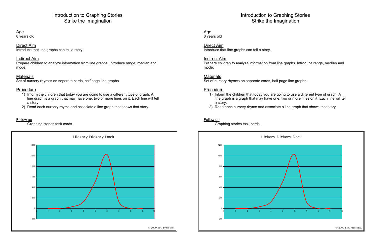# **Introduction to Graphing Stories** Strike the Imagination

Age

8 years old  $\overline{3}$ 

# Direct Aim

**Introduce that line graphs can tell a story.** 

### **Indirect Aim**

Prepare children to analyze information from line graphs. Introduce range, median and mode. **Temperature**<br>In Celcius<br>Jele ird<br>pa<br><u>te</u><br>oi

#### <u>Materials</u>

Set of nursery rhymes on separate cards, half page line graphs 5

# **Procedure**

- 1) Inform the children that today you are going to use a different type of graph. A line graph is a graph that may have one, two or more lines on it. Each line will tell<br>a story a story. © 2009 ETC Press Inc.  $\sigma$  crimarent matroady you are going to use a unicrent type or graph.  $\overline{a}$
- 2) Read each nursery rhyme and associate a line graph that shows that story. 0

#### Follow up

Graphing stories task cards.

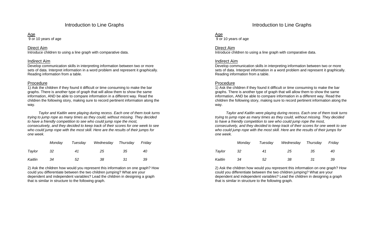# Introduction to Line Graphs

## Age

9 or 10 years of age

#### Direct Aim

Introduce children to using a line graph with comparative data.

#### Indirect Aim

Develop communication skills in interpreting information between two or more sets of data. Interpret information in a word problem and represent it graphically. Reading information from a table.

#### **Procedure**

1) Ask the children if they found it difficult or time consuming to make the bar graphs. There is another type of graph that will allow them to show the same information, AND be able to compare information in a different way. Read the children the following story, making sure to record pertinent information along the way.

*Taylor and Kaitlin were playing during recess. Each one of them took turns trying to jump rope as many times as they could, without missing. They decided to have a friendly competition to see who could jump rope the most, consecutively, and they decided to keep track of their scores for one week to see who could jump rope with the most skill. Here are the results of their jumps for one week.* 

|         | Monday |    | Tuesday Wednesday Thursday Friday |    |    |
|---------|--------|----|-----------------------------------|----|----|
| Taylor  | 32     | 41 | 25                                | 35 | 40 |
| Kaitlin | 34     | 52 | 38                                | 31 | 39 |

2) Ask the children how would you represent this information on one graph? How could you differentiate between the two children jumping? What are your dependent and independent variables? Lead the children in designing a graph that is similar in structure to the following graph.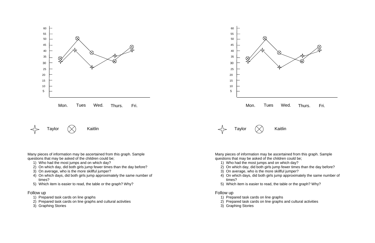

Many pieces of information may be ascertained from this graph. Sample questions that may be asked of the children could be;

- 1) Who had the most jumps and on which day?
- 2) On which day, did both girls jump fewer times than the day before?
- 3) On average, who is the more skillful jumper?
- 4) On which days, did both girls jump approximately the same number of times?
- 5) Which item is easier to read, the table or the graph? Why?

#### Follow up

- 1) Prepared task cards on line graphs
- 2) Prepared task cards on line graphs and cultural activities
- 3) Graphing Stories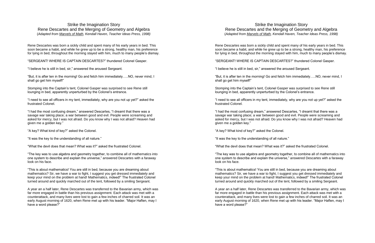#### Strike the Imagination Story Rene Descartes and the Merging of Geometry and Algebra (*Adapted from Marvels of Math, Kendall Haven, Teacher Ideas Press, 1998)*

Rene Descartes was born a sickly child and spent many of his early years in bed. This soon became a habit, and while he grew up to be a strong, healthy man, his preference for lying in bed, throughout the morning stayed with him, much to many people's dismay.

"SERGEANT! WHERE IS CAPTAIN DESCARTES?" thundered Colonel Gasper.

"I believe he is still in bed, sir," answered the aroused Sergeant.

"But, it is after ten in the morning! Go and fetch him immediately…..NO, never mind, I shall go get him myself!"

Stomping into the Captain's tent, Colonel Gasper was surprised to see Rene still lounging in bed, apparently unperturbed by the Colonel's entrance.

"I need to see all officers in my tent, immediately, why are you not up yet?" asked the frustrated Colonel.

"I had the most confusing dream," answered Descartes, "I dreamt that there was a savage war taking place; a war between good and evil. People were screaming and asked for mercy, but I was not afraid. Do you know why I was not afraid? Heaven had given me a golden key."

"A key? What kind of key?" asked the Colonel.

"It was the key to the understanding of all nature."

"What the devil does that mean? What was it?" asked the frustrated Colonel.

"The key was to use algebra and geometry together, to combine all of mathematics into one system to describe and explain the universe," answered Descartes with a faraway look on his face.

"This is about mathematics! You are still in bed, because you are dreaming about mathematics? Sir, we have a war to fight, I suggest you get dressed immediately and keep your mind on the problem at hand! Mathematics, indeed!" The frustrated Colonel turned around and quickly marched out of the tent, followed by a smiling Sergeant.

A year an a half later, Rene Descartes was transferred to the Bavarian army, which was far more engaged in battle than his previous assignment. Each attack was met with a counterattack, and many lives were lost to gain a few inches of charred soil. It was an early August morning of 1620, when Rene met up with his leader. "Major Haflen, may I have a word please?"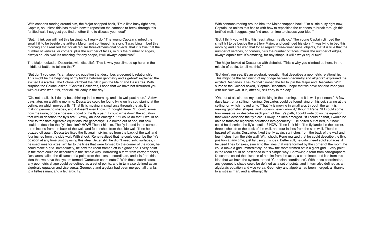With cannons roaring around him, the Major snapped back, "I'm a little busy right now, Captain, so unless this has to with how to reposition the cannons to break through this fortified wall, I suggest you find another time to discuss your idea!"

"But, I think you will find this fascinating, I really do." The young Captain climbed the small hill to be beside the artillery Major, and continued his story. "I was lying in bed this morning and I realized that for all regular three-dimensional objects, that it is true that the number of vertices, or corners, plus the number of faces, minus the number of edges, always equals two! It's amazing, for any shape, it will always equal two!"

The Major looked at Descartes with disbelief. "This is why you climbed up here, in the middle of battle, to tell me this?"

"But don't you see, it's an algebraic equation that describes a geometric relationship. This might be the beginning of my bridge between geometry and algebra!" explained the excited Descartes. The Colonel climbed the hill to join the Major and Descartes. With surprise the Colonel asked, "Captain Descartes, I hope that we have not disturbed you with our *little war*. It is, after all, still early in the day."

"Oh, not at all, sir, I do my best thinking in the morning, and it is well past noon." A few days later, on a stifling morning, Descartes could be found lying on his cot, staring at the ceiling, on which moved a fly. "That fly is moving in small arcs through the air. It is making geometric shapes, and it doesn't even know it," thought Rene. "If I could some how measure, or describe each point of the fly's path, I could write down the equation that would describe the fly's arc." Slowly, an idea emerged. "If I could do that, I would be able to translate algebraic equations into geometry!" He bolted out of bed, but how could he describe the fly's location? HOW! Then it hit him. The fly landed in the corner, three inches from the back of the wall, and four inches from the side wall. Then he buzzed off again. Descartes fixed the fly again, six inches from the back of the wall and four inches from the side wall. With shock, Rene realized that he could describe the fly's position at any time, just by using this idea. Better still, he didn't need solid surfaces, if he used lines for axes, similar to the lines that were formed by the corner of the room, he could make a grid. Immediately, he saw the room framed off in a giant grid. Every point in the room could be described in this simple way. Borrowing a term from cartographers, Descartes called the distance of a point from the axes, a coordinate, and it is from this idea that we have the system termed "Cartesian coordinates". With these coordinates, any geometric shape could be defined as a set of points, and in turn also defined as an algebraic equation and vice versa. Geometry and algebra had been merged, all thanks to a listless man, and a lethargic fly.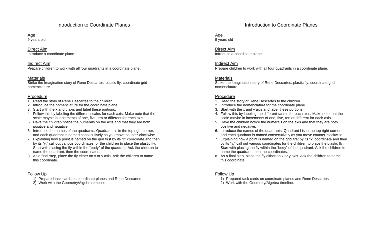# Introduction to Coordinate Planes

## Age

9 years old

## Direct Aim

Introduce a coordinate plane.

#### Indirect Aim

Prepare children to work with all four quadrants in a coordinate plane.

#### **Materials**

Strike the Imagination story of Rene Descartes, plastic fly, coordinate grid nomenclature

## Procedure

- 1. Read the story of Rene Descartes to the children.
- 2. Introduce the nomenclature for the coordinate plane.
- 3. Start with the x and y axis and label these portions.
- 4. Follow this by labeling the different scales for each axis. Make note that the scale maybe in increments of one, five, ten or different for each axis.
- 5. Have the children notice the numerals on the axis and that they are both positive and negative.
- 6. Introduce the names of the quadrants. Quadrant I is in the top right corner, and each quadrant is named consecutively as you move counter-clockwise.
- 7. Explaining how a point is named on the grid first by its "x" coordinate and then by its "y," call out various coordinates for the children to place the plastic fly. Start with placing the fly within the "body" of the quadrant. Ask the children to name the quadrant, then the coordinates.
- 8. As a final step, place the fly either on x or y axis. Ask the children to name this coordinate.

## Follow Up

- 1) Prepared task cards on coordinate planes and Rene Descartes
- 2) Work with the Geometry/Algebra timeline.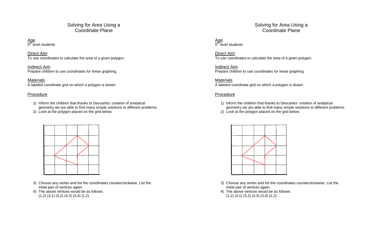# Solving for Area Using a Coordinate Plane

### Age

5<sup>th</sup> level students

#### Direct Aim

To use coordinates to calculate the area of a given polygon.

#### Indirect Aim

Prepare children to use coordinates for linear graphing.

#### **Materials**

A labeled coordinate grid on which a polygon is drawn

#### Procedure

- 1) Inform the children that thanks to Descartes' creation of analytical geometry we are able to find many simple solutions to different problems.
- 2) Look at the polygon placed on the grid below.



- 3) Choose any vertex and list the coordinates counterclockwise. List the initial pair of vertices again.
- 4) The above vertices would be as follows: (1,2) (3,1) (3,2) (4,3) (3,4) (1,2)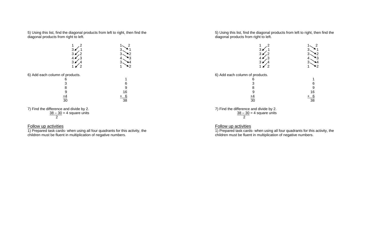5) Using this list, find the diagonal products from left to right, then find the diagonal products from right to left.

| ว<br>- 4         |           |
|------------------|-----------|
| $3\sqrt{2}$      |           |
| $\frac{2}{3}$    | . .       |
| $\mathcal{S}$    |           |
| $\angle{2}$<br>1 | $\cdot 2$ |

6) Add each column of products.

| $\sim$<br>6     |            |
|-----------------|------------|
| 3               | 6          |
| 8               | 9          |
| 9               | 16         |
|                 | 6<br>$\pm$ |
| $\frac{+4}{30}$ | 38         |

7) Find the difference and divide by 2.

 $38 - 30 = 4$  square units 2

Follow up activities

1) Prepared task cards- when using all four quadrants for this activity, the children must be fluent in multiplication of negative numbers.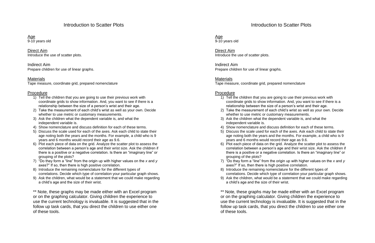# Introduction to Scatter Plots

Age 9-10 years old

#### Direct Aim

Introduce the use of scatter plots.

#### Indirect Aim

Prepare children for use of linear graphs.

#### **Materials**

Tape measure, coordinate grid, prepared nomenclature

#### **Procedure**

- 1) Tell the children that you are going to use their previous work with coordinate grids to show information. And, you want to see if there is a relationship between the size of a person's wrist and their age.
- 2) Take the measurement of each child's wrist as well as your own. Decide whether to use metric or customary measurements.
- 3) Ask the children what the dependent variable is, and what the independent variable is.
- 4) Show nomenclature and discuss definition for each of these terms.
- 5) Discuss the scale used for each of the axes. Ask each child to state their age noting both the years and the months. For example, a child who is 9 years and 6 months would record their age as 9.6.
- 6) Plot each piece of data on the grid. Analyze the scatter plot to assess the correlation between a person's age and their wrist size. Ask the children if there is a positive or a negative correlation. Is there an "imaginary line" or grouping of the plots?
- 7) "Do they form a "line" from the origin up with higher values on the *x* and *y* axes?" If so, then there is high positive correlation.
- 8) Introduce the remaining nomenclature for the different types of correlations. Decide which type of correlation your particular graph shows.
- 9) Ask the children, what would be a statement that we could make regarding a child's age and the size of their wrist.

\*\* Note, these graphs may be made either with an Excel program or on the graphing calculator. Giving children the experience to use the current technology is invaluable. It is suggested that in the follow up task cards, that you direct the children to use either one of these tools.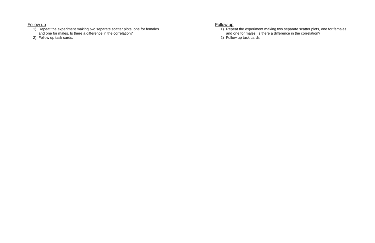# Follow up

- 1) Repeat the experiment making two separate scatter plots, one for females and one for males. Is there a difference in the correlation?
- 2) Follow up task cards.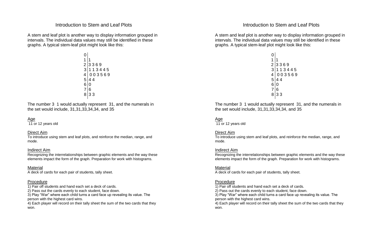Introduction to Stem and Leaf Plots

A stem and leaf plot is another way to display information grouped in intervals. The individual data values may still be identified in these graphs. A typical stem-leaf plot might look like this:

The number 3 1 would actually represent 31, and the numerals in the set would include, 31,31,33,34,34, and 35

Age 11 or 12 years old

#### Direct Aim

To introduce using stem and leaf plots, and reinforce the median, range, and mode.

#### Indirect Aim

Recognizing the interrelationships between graphic elements and the way these elements impact the form of the graph. Preparation for work with histograms.

#### Material

A deck of cards for each pair of students, tally sheet.

#### Procedure

1) Pair off students and hand each set a deck of cards.

2) Pass out the cards evenly to each student, face down.

3) Play "War" where each child turns a card face up revealing its value. The person with the highest card wins.

4) Each player will record on their tally sheet the sum of the two cards that they won.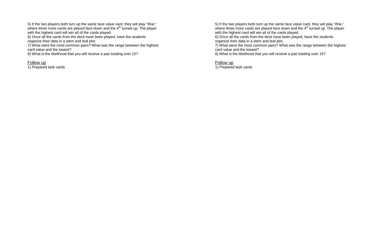5) If the two players both turn up the same face value card, they will play "War," where three more cards are placed face down and the 4<sup>th</sup> turned up. The player with the highest card will win all of the cards played.

6) Once all the cards from the deck have been played, have the students organize their data in a stem and leaf plot.

7) What were the most common pairs? What was the range between the highest card value and the lowest?

8) What is the likelihood that you will receive a pair totaling over 15?

#### Follow up

1) Prepared task cards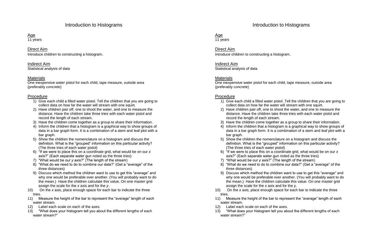# Introduction to Histograms

## Age

11 years

## Direct Aim

Introduce children to constructing a histogram.

#### Indirect Aim

Statistical analysis of data

## **Materials**

One inexpensive water pistol for each child, tape measure, outside area (preferably concrete)

#### **Procedure**

- 1) Give each child a filled water pistol. Tell the children that you are going to collect data on how far the water will stream with one squirt.
- 2) Have children pair off, one to shoot the water, and one to measure the distance. Have the children take three tries with each water pistol and record the length of each stream.
- 3) Have the children come together as a group to share their information.
- 4) Inform the children that a histogram is a graphical way to show groups of data in a bar graph form. It is a combination of a stem and leaf plot with a bar graph.
- 5) Show the children the nomenclature on a histogram and discuss the definition. What is the "grouped" information on this particular activity? (The three tries of each water pistol)
- 6) "If we were to place this on a coordinate grid, what would be on our *x* axis?" (Each separate water gun noted as the three tries)
- 7) "What would be our *y* axis?" (The length of the stream)
- 8) "What do we need to do to combine our data?" (Get a "average" of the three distances)
- 9) Discuss which method the children want to use to get this "average" and why one would be preferable over another. (You will probably want to do the mean.) Have the children calculate this value. On one master grid assign the scale for the *x* axis and for the *y*.
- 10) On the *x* axis, place enough space for each bar to indicate the three tries.
- 11) Measure the height of the bar to represent the "average" length of each water stream.
- 12) Label each scale on each of the axes.
- 13) "What does your histogram tell you about the different lengths of each water stream?"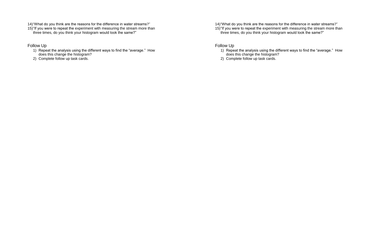14)"What do you think are the reasons for the difference in water streams?"

15)"If you were to repeat the experiment with measuring the stream more than three times, do you think your histogram would look the same?"

Follow Up

- 1) Repeat the analysis using the different ways to find the "average." How does this change the histogram?
- 2) Complete follow up task cards.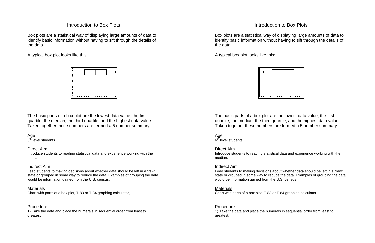# Introduction to Box Plots

Box plots are a statistical way of displaying large amounts of data to identify basic information without having to sift through the details of the data.

A typical box plot looks like this:



The basic parts of a box plot are the lowest data value, the first quartile, the median, the third quartile, and the highest data value. Taken together these numbers are termed a 5 number summary.

# Age

6<sup>th</sup> level students

#### Direct Aim

Introduce students to reading statistical data and experience working with the median.

#### Indirect Aim

Lead students to making decisions about whether data should be left in a "raw" state or grouped in some way to reduce the data. Examples of grouping the data would be information gained from the U.S. census.

#### Materials

Chart with parts of a box plot, T-83 or T-84 graphing calculator,

#### Procedure

1) Take the data and place the numerals in sequential order from least to greatest.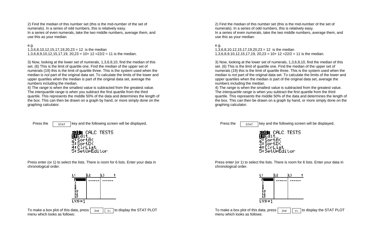2) Find the median of this number set (this is the mid-number of the set of numerals). In a series of odd numbers, this is relatively easy. In a series of even numerals, take the two middle numbers, average them, and use this as your median.

e.g.  $1,3,6,8,10,12,15,17,19,20,23 = 12$  is the median  $1,3,6,8,9,10,12,15,17,19, 20,23 = 10+ 12 = 22/2 = 11$  is the median.

3) Now, looking at the lower set of numerals, 1,3,6,8,10, find the median of this set. (6) This is the limit of quartile one. Find the median of the upper set of numerals (19) this is the limit of quartile three. This is the system used when the median is *not* part of the original data set. To calculate the limits of the lower and upper quartiles when the median *is* part of the original data set, average the numbers including the median.

4) The *range* is when the smallest value is subtracted from the greatest value. The *interquartile range* is when you subtract the first quartile from the third quartile. This represents the middle 50% of the data and determines the length of the box. This can then be drawn on a graph by hand, or more simply done on the graphing calculator.

Press the  $\parallel$  state is key and the following screen will be displayed. STAT



Press enter (or 1) to select the lists. There is room for 6 lists. Enter your data in chronological order.



To make a box plot of this data, press  $\vert_{2nd}$   $\vert_{\vert_{\mathcal{N}_{\equiv}}}$  to display the STAT PLOT menu which looks as follows:  $2nd$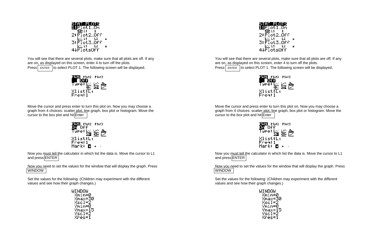

You will see that there are several plots, make sure that all plots are off. If any are on, as displayed on this screen, enter 4 to turn off the plots.

Press  $\vert$  ENTER  $\vert$  to select PLOT 1. The following screen will be displayed. ENTER



Move the cursor and press enter to turn this plot on. Now you may choose a graph from 4 choices: scatter plot, line graph, box plot or histogram. Move the cursor to the box plot and hit  $E$ nter



Now you must tell the calculator in which list the data is. Move the cursor to L1 and press **ENTER** 

Now you need to set the values for the window that will display the graph. Press WINDOW

Set the values for the following: (Children may experiment with the different values and see how their graph changes.)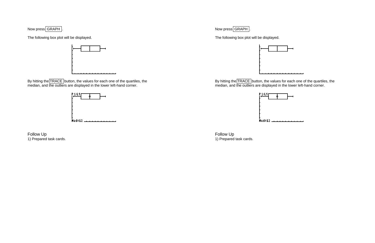Now press GRAPH.

The following box plot will be displayed.



By hitting the TRACE button, the values for each one of the quartiles, the median, and the outliers are displayed in the lower left-hand corner.



Follow Up 1) Prepared task cards.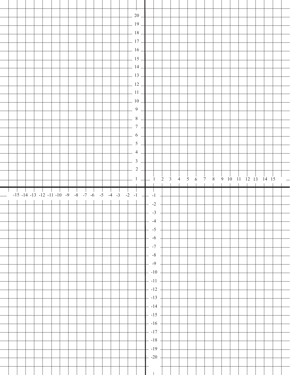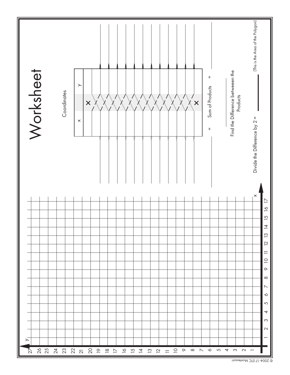

<sup>© 2004-17</sup> ETC Montessori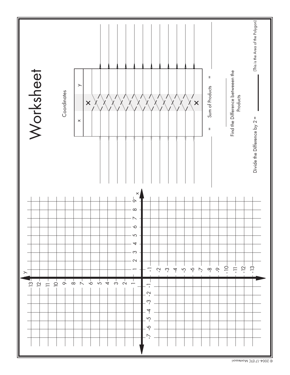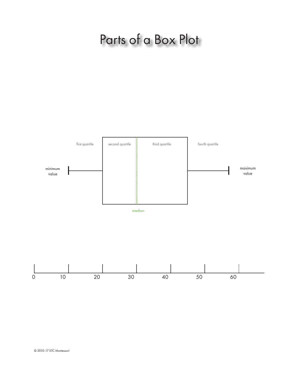# Parts of a Box Plot